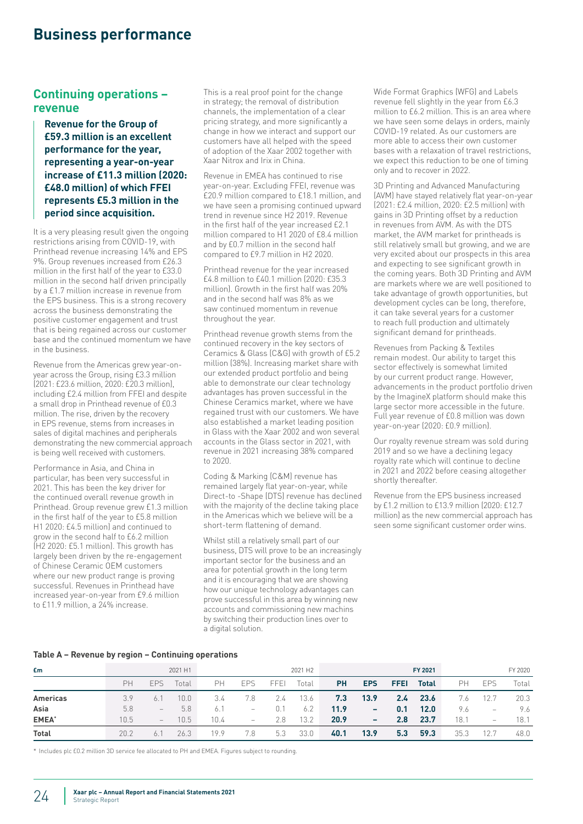# **Business performance**

### **Continuing operations – revenue**

**Revenue for the Group of £59.3 million is an excellent performance for the year, representing a year-on-year increase of £11.3 million (2020: £48.0 million) of which FFEI represents £5.3 million in the period since acquisition.** 

It is a very pleasing result given the ongoing restrictions arising from COVID-19, with Printhead revenue increasing 14% and EPS 9%. Group revenues increased from £26.3 million in the first half of the year to £33.0 million in the second half driven principally by a £1.7 million increase in revenue from the EPS business. This is a strong recovery across the business demonstrating the positive customer engagement and trust that is being regained across our customer base and the continued momentum we have in the business.

Revenue from the Americas grew year-onyear across the Group, rising £3.3 million (2021: £23.6 million, 2020: £20.3 million), including £2.4 million from FFEI and despite a small drop in Printhead revenue of £0.3 million. The rise, driven by the recovery in EPS revenue, stems from increases in sales of digital machines and peripherals demonstrating the new commercial approach is being well received with customers.

Performance in Asia, and China in particular, has been very successful in 2021. This has been the key driver for the continued overall revenue growth in Printhead. Group revenue grew £1.3 million in the first half of the year to £5.8 million H1 2020: £4.5 million) and continued to grow in the second half to £6.2 million (H2 2020: £5.1 million). This growth has largely been driven by the re-engagement of Chinese Ceramic OEM customers where our new product range is proving successful. Revenues in Printhead have increased year-on-year from £9.6 million to £11.9 million, a 24% increase.

This is a real proof point for the change in strategy; the removal of distribution channels, the implementation of a clear pricing strategy, and more significantly a change in how we interact and support our customers have all helped with the speed of adoption of the Xaar 2002 together with Xaar Nitrox and Irix in China.

Revenue in EMEA has continued to rise year-on-year. Excluding FFEI, revenue was £20.9 million compared to £18.1 million, and we have seen a promising continued upward trend in revenue since H2 2019. Revenue in the first half of the year increased £2.1 million compared to H1 2020 of £8.4 million and by £0.7 million in the second half compared to £9.7 million in H2 2020.

Printhead revenue for the year increased £4.8 million to £40.1 million (2020: £35.3 million). Growth in the first half was 20% and in the second half was 8% as we saw continued momentum in revenue throughout the year.

Printhead revenue growth stems from the continued recovery in the key sectors of Ceramics & Glass (C&G) with growth of £5.2 million (38%). Increasing market share with our extended product portfolio and being able to demonstrate our clear technology advantages has proven successful in the Chinese Ceramics market, where we have regained trust with our customers. We have also established a market leading position in Glass with the Xaar 2002 and won several accounts in the Glass sector in 2021, with revenue in 2021 increasing 38% compared to 2020.

Coding & Marking (C&M) revenue has remained largely flat year-on-year, while Direct-to -Shape (DTS) revenue has declined with the majority of the decline taking place in the Americas which we believe will be a short-term flattening of demand.

Whilst still a relatively small part of our business, DTS will prove to be an increasingly important sector for the business and an area for potential growth in the long term and it is encouraging that we are showing how our unique technology advantages can prove successful in this area by winning new accounts and commissioning new machins by switching their production lines over to a digital solution.

Wide Format Graphics (WFG) and Labels revenue fell slightly in the year from £6.3 million to £6.2 million. This is an area where we have seen some delays in orders, mainly COVID-19 related. As our customers are more able to access their own customer bases with a relaxation of travel restrictions, we expect this reduction to be one of timing only and to recover in 2022.

3D Printing and Advanced Manufacturing (AVM) have stayed relatively flat year-on-year (2021: £2.4 million, 2020: £2.5 million) with gains in 3D Printing offset by a reduction in revenues from AVM. As with the DTS market, the AVM market for printheads is still relatively small but growing, and we are very excited about our prospects in this area and expecting to see significant growth in the coming years. Both 3D Printing and AVM are markets where we are well positioned to take advantage of growth opportunities, but development cycles can be long, therefore, it can take several years for a customer to reach full production and ultimately significant demand for printheads.

Revenues from Packing & Textiles remain modest. Our ability to target this sector effectively is somewhat limited by our current product range. However, advancements in the product portfolio driven by the ImagineX platform should make this large sector more accessible in the future. Full year revenue of £0.8 million was down year-on-year (2020: £0.9 million).

Our royalty revenue stream was sold during 2019 and so we have a declining legacy royalty rate which will continue to decline in 2021 and 2022 before ceasing altogether shortly thereafter.

Revenue from the EPS business increased by £1.2 million to £13.9 million (2020: £12.7 million) as the new commercial approach has seen some significant customer order wins.

#### **Table A – Revenue by region – Continuing operations**

| £m              |      |                          | 2021 H1 |      |                          |      | 2021 H <sub>2</sub> |           |            |               | FY 2021      |      |                   | FY 2020 |
|-----------------|------|--------------------------|---------|------|--------------------------|------|---------------------|-----------|------------|---------------|--------------|------|-------------------|---------|
|                 | PH   | <b>EPS</b>               | Total   | PН   | <b>EPS</b>               | FFEI | Total               | <b>PH</b> | <b>EPS</b> | <b>FFEI</b>   | <b>Total</b> | PН   | <b>EPS</b>        | Total   |
| <b>Americas</b> | 3.9  | 6.7                      | 10.0    | 3.4  | 7.8                      | 2.4  | 13.6                | 7.3       | 13.9       | $2.4^{\circ}$ | 23.6         | 7.6  | 12.7              | 20.3    |
| Asia            | 5.8  | $\overline{\phantom{0}}$ | 5.8     | 6.   | $\qquad \qquad -$        | 0.1  | 6.2                 | 11.9      | ۰          | 0.1           | 12.0         | 9.6  | $\qquad \qquad -$ | 9.6     |
| <b>EMEA</b> *   | 10.5 | $\qquad \qquad -$        | 10.5    | 10.4 | $\overline{\phantom{m}}$ | 2.8  | 13.2                | 20.9      |            | $2.8^{\circ}$ | 23.7         | 18.1 | $\qquad \qquad -$ | 18.1    |
| <b>Total</b>    | 20.2 | 6.                       | 26.3    | 19.9 | 7.8                      | 5.3  | 33.0                | 40.1      | 13.9       | 5.3           | 59.3         | 35.3 | 12.7              | 48.0    |

\* Includes plc £0.2 million 3D service fee allocated to PH and EMEA. Figures subject to rounding.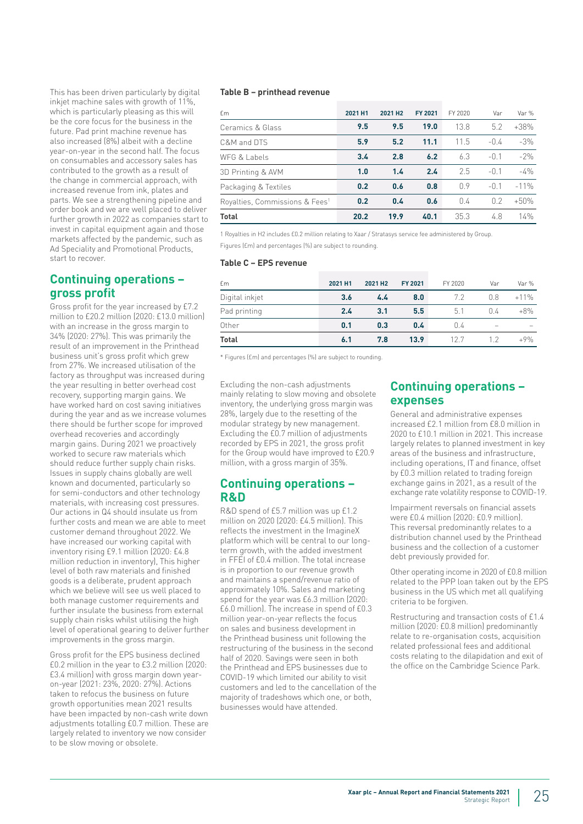This has been driven particularly by digital inkjet machine sales with growth of 11%, which is particularly pleasing as this will be the core focus for the business in the future. Pad print machine revenue has also increased (8%) albeit with a decline year-on-year in the second half. The focus on consumables and accessory sales has contributed to the growth as a result of the change in commercial approach, with increased revenue from ink, plates and parts. We see a strengthening pipeline and order book and we are well placed to deliver further growth in 2022 as companies start to invest in capital equipment again and those markets affected by the pandemic, such as Ad Speciality and Promotional Products, start to recover.

### **Continuing operations – gross profit**

Gross profit for the year increased by £7.2 million to £20.2 million (2020: £13.0 million) with an increase in the gross margin to 34% (2020: 27%). This was primarily the result of an improvement in the Printhead business unit's gross profit which grew from 27%. We increased utilisation of the factory as throughput was increased during the year resulting in better overhead cost recovery, supporting margin gains. We have worked hard on cost saving initiatives during the year and as we increase volumes there should be further scope for improved overhead recoveries and accordingly margin gains. During 2021 we proactively worked to secure raw materials which should reduce further supply chain risks. Issues in supply chains globally are well known and documented, particularly so for semi-conductors and other technology materials, with increasing cost pressures. Our actions in Q4 should insulate us from further costs and mean we are able to meet customer demand throughout 2022. We have increased our working capital with inventory rising £9.1 million (2020: £4.8 million reduction in inventory), This higher level of both raw materials and finished goods is a deliberate, prudent approach which we believe will see us well placed to both manage customer requirements and further insulate the business from external supply chain risks whilst utilising the high level of operational gearing to deliver further improvements in the gross margin.

Gross profit for the EPS business declined £0.2 million in the year to £3.2 million (2020: £3.4 million) with gross margin down yearon-year (2021: 23%, 2020: 27%). Actions taken to refocus the business on future growth opportunities mean 2021 results have been impacted by non-cash write down adjustments totalling £0.7 million. These are largely related to inventory we now consider to be slow moving or obsolete.

#### **Table B – printhead revenue**

| £m                                         | 2021 H1 | 2021 H <sub>2</sub> | FY 2021 | FY 2020 | Var    | Var %  |
|--------------------------------------------|---------|---------------------|---------|---------|--------|--------|
| Ceramics & Glass                           | 9.5     | 9.5                 | 19.0    | 13.8    | 5.2    | $+38%$ |
| C&M and DTS                                | 5.9     | 5.2                 | 11.1    | 11.5    | $-0.4$ | $-3%$  |
| WFG & Labels                               | 3.4     | 2.8                 | 6.2     | 6.3     | $-0.1$ | $-2%$  |
| 3D Printing & AVM                          | 1.0     | 1.4                 | 2.4     | 2.5     | $-0.1$ | $-4%$  |
| Packaging & Textiles                       | 0.2     | 0.6                 | 0.8     | 09      | $-0.1$ | $-11%$ |
| Royalties, Commissions & Fees <sup>1</sup> | 0.2     | 0.4                 | 0.6     | 0.4     | 02     | $+50%$ |
| <b>Total</b>                               | 20.2    | 19.9                | 40.1    | 35.3    | 4.8    | 14%    |

1 Royalties in H2 includes £0.2 million relating to Xaar / Stratasys service fee administered by Group. Figures (£m) and percentages (%) are subject to rounding.

#### **Table C – EPS revenue**

| <b>f</b> m     | 2021 H1 | 2021 H <sub>2</sub> | FY 2021 | FY 2020 | Var | Var %  |
|----------------|---------|---------------------|---------|---------|-----|--------|
| Digital inkjet | 3.6     | 4.4                 | 8.0     | 72      | 0.8 | $+11%$ |
| Pad printing   | 2.4     | 3.1                 | 5.5     | 5.1     | 0.4 | $+8\%$ |
| Other          | 0.1     | 0.3                 | 0.4     | 0.4     |     |        |
| <b>Total</b>   | 6.1     | 7.8                 | 13.9    | 12.7    | 12  | $+9%$  |

\* Figures (£m) and percentages (%) are subject to rounding.

Excluding the non-cash adjustments mainly relating to slow moving and obsolete inventory, the underlying gross margin was 28%, largely due to the resetting of the modular strategy by new management. Excluding the £0.7 million of adjustments recorded by EPS in 2021, the gross profit for the Group would have improved to £20.9 million, with a gross margin of 35%.

### **Continuing operations – R&D**

R&D spend of £5.7 million was up £1.2 million on 2020 (2020: £4.5 million). This reflects the investment in the ImagineX platform which will be central to our longterm growth, with the added investment in FFEI of £0.4 million. The total increase is in proportion to our revenue growth and maintains a spend/revenue ratio of approximately 10%. Sales and marketing spend for the year was £6.3 million (2020: £6.0 million). The increase in spend of £0.3 million year-on-year reflects the focus on sales and business development in the Printhead business unit following the restructuring of the business in the second half of 2020. Savings were seen in both the Printhead and EPS businesses due to COVID-19 which limited our ability to visit customers and led to the cancellation of the majority of tradeshows which one, or both, businesses would have attended.

### **Continuing operations – expenses**

General and administrative expenses increased £2.1 million from £8.0 million in 2020 to £10.1 million in 2021. This increase largely relates to planned investment in key areas of the business and infrastructure, including operations, IT and finance, offset by £0.3 million related to trading foreign exchange gains in 2021, as a result of the exchange rate volatility response to COVID-19.

Impairment reversals on financial assets were £0.4 million (2020: £0.9 million). This reversal predominantly relates to a distribution channel used by the Printhead business and the collection of a customer debt previously provided for.

Other operating income in 2020 of £0.8 million related to the PPP loan taken out by the EPS business in the US which met all qualifying criteria to be forgiven.

Restructuring and transaction costs of £1.4 million (2020: £0.8 million) predominantly relate to re-organisation costs, acquisition related professional fees and additional costs relating to the dilapidation and exit of the office on the Cambridge Science Park.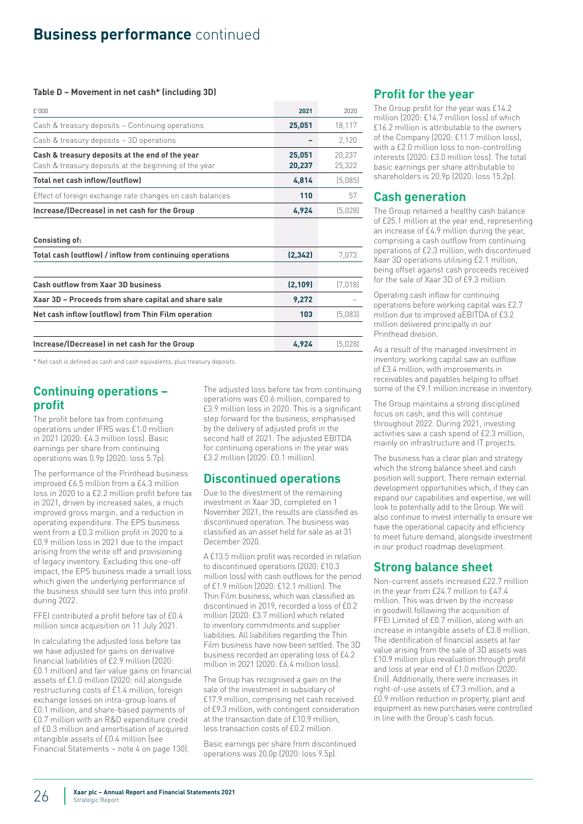# **Business performance** continued

#### **Table D – Movement in net cash\* (including 3D)**

| f'000                                                                                                    | 2021             | 2020             |
|----------------------------------------------------------------------------------------------------------|------------------|------------------|
| Cash & treasury deposits - Continuing operations                                                         | 25,051           | 18,117           |
| Cash & treasury deposits - 3D operations                                                                 |                  | 2,120            |
| Cash & treasury deposits at the end of the year<br>Cash & treasury deposits at the beginning of the year | 25,051<br>20,237 | 20,237<br>25,322 |
| Total net cash inflow/(outflow)                                                                          | 4,814            | (5,085)          |
| Effect of foreign exchange rate changes on cash balances                                                 | 110              | 57               |
| Increase/(Decrease) in net cash for the Group                                                            | 4,924            | (5,028)          |
| <b>Consisting of:</b>                                                                                    |                  |                  |
| Total cash (outflow) / inflow from continuing operations                                                 | (2, 342)         | 7,073            |
| Cash outflow from Xaar 3D business                                                                       | (2, 109)         | (7,018)          |
| Xaar 3D – Proceeds from share capital and share sale                                                     | 9,272            |                  |
| Net cash inflow (outflow) from Thin Film operation                                                       | 103              | (5,083)          |
|                                                                                                          |                  |                  |
| Increase/(Decrease) in net cash for the Group                                                            | 4,924            | (5,028)          |

\* Net cash is defined as cash and cash equivalents, plus treasury deposits.

### **Continuing operations – profit**

The profit before tax from continuing operations under IFRS was £1.0 million in 2021 (2020: £4.3 million loss). Basic earnings per share from continuing operations was 0.9p (2020: loss 5.7p).

The performance of the Printhead business improved £6.5 million from a £4.3 million loss in 2020 to a £2.2 million profit before tax in 2021, driven by increased sales, a much improved gross margin, and a reduction in operating expenditure. The EPS business went from a £0.3 million profit in 2020 to a £0.9 million loss in 2021 due to the impact arising from the write off and provisioning of legacy inventory. Excluding this one-off impact, the EPS business made a small loss which given the underlying performance of the business should see turn this into profit during 2022.

FFEI contributed a profit before tax of £0.4 million since acquisition on 11 July 2021.

In calculating the adjusted loss before tax we have adjusted for gains on derivative financial liabilities of £2.9 million (2020: £0.1 million) and fair value gains on financial assets of £1.0 million (2020: nil) alongside restructuring costs of £1.4 million, foreign exchange losses on intra-group loans of £0.1 million, and share-based payments of £0.7 million with an R&D expenditure credit of £0.3 million and amortisation of acquired intangible assets of £0.4 million (see Financial Statements – note 4 on page 130).

The adjusted loss before tax from continuing operations was £0.6 million, compared to £3.9 million loss in 2020. This is a significant step forward for the business, emphasised by the delivery of adjusted profit in the second half of 2021. The adjusted EBITDA for continuing operations in the year was £3.2 million (2020: £0.1 million).

### **Discontinued operations**

Due to the divestment of the remaining investment in Xaar 3D, completed on 1 November 2021, the results are classified as discontinued operation. The business was classified as an asset held for sale as at 31 December 2020.

A £13.5 million profit was recorded in relation to discontinued operations (2020: £10.3 million loss) with cash outflows for the period of £1.9 million (2020: £12.1 million). The Thin Film business, which was classified as discontinued in 2019, recorded a loss of £0.2 million (2020: £3.7 million) which related to inventory commitments and supplier liabilities. All liabilities regarding the Thin Film business have now been settled. The 3D business recorded an operating loss of £4.2 million in 2021 (2020: £6.4 million loss).

The Group has recognised a gain on the sale of the investment in subsidiary of £17.9 million, comprising net cash received of £9.3 million, with contingent consideration at the transaction date of £10.9 million, less transaction costs of £0.2 million.

Basic earnings per share from discontinued operations was 20.0p (2020: loss 9.5p).

### **Profit for the year**

The Group profit for the year was £14.2 million (2020: £14.7 million loss) of which £16.2 million is attributable to the owners of the Company (2020: £11.7 million loss), with a £2.0 million loss to non-controlling interests (2020: £3.0 million loss). The total basic earnings per share attributable to shareholders is 20.9p (2020: loss 15.2p).

## **Cash generation**

The Group retained a healthy cash balance of £25.1 million at the year end, representing an increase of £4.9 million during the year, comprising a cash outflow from continuing operations of £2.3 million, with discontinued Xaar 3D operations utilising £2.1 million, being offset against cash proceeds received for the sale of Xaar 3D of £9.3 million.

Operating cash inflow for continuing operations before working capital was £2.7 million due to improved aEBITDA of £3.2 million delivered principally in our Printhead division.

As a result of the managed investment in inventory, working capital saw an outflow of £3.4 million, with improvements in receivables and payables helping to offset some of the £9.1 million increase in inventory.

The Group maintains a strong disciplined focus on cash, and this will continue throughout 2022. During 2021, investing activities saw a cash spend of £2.3 million, mainly on infrastructure and IT projects.

The business has a clear plan and strategy which the strong balance sheet and cash position will support. There remain external development opportunities which, if they can expand our capabilities and expertise, we will look to potentially add to the Group. We will also continue to invest internally to ensure we have the operational capacity and efficiency to meet future demand, alongside investment in our product roadmap development.

## **Strong balance sheet**

Non-current assets increased £22.7 million in the year from £24.7 million to £47.4 million. This was driven by the increase in goodwill following the acquisition of FFEI Limited of £0.7 million, along with an increase in intangible assets of £3.8 million. The identification of financial assets at fair value arising from the sale of 3D assets was £10.9 million plus revaluation through profit and loss at year end of £1.0 million (2020: £nil). Additionally, there were increases in right-of-use assets of £7.3 million, and a £0.9 million reduction in property, plant and equipment as new purchases were controlled in line with the Group's cash focus.